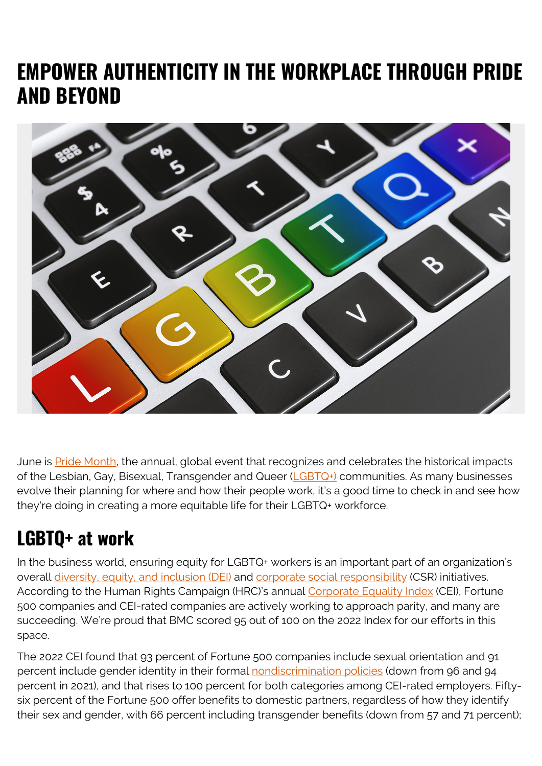# **EMPOWER AUTHENTICITY IN THE WORKPLACE THROUGH PRIDE AND BEYOND**



June is **Pride Month**, the annual, global event that recognizes and celebrates the historical impacts of the Lesbian, Gay, Bisexual, Transgender and Queer ( $LGBTQ<sub>+</sub>$ ) communities. As many businesses evolve their planning for where and how their people work, it's a good time to check in and see how they're doing in creating a more equitable life for their LGBTQ+ workforce.

# **LGBTQ+ at work**

In the business world, ensuring equity for LGBTQ+ workers is an important part of an organization's overall [diversity, equity, and inclusion \(DEI\)](https://blogs.bmc.com/careers/bmc-culture-values.html#tab-2ebac306-1645-455b-8810-7b9851875d1b) and [corporate social responsibility](https://blogs.bmc.com/corporate/corporate-responsibility-impact.html) (CSR) initiatives. According to the Human Rights Campaign (HRC)'s annual [Corporate Equality Index](https://www.hrc.org/resources/corporate-equality-index) (CEI), Fortune 500 companies and CEI-rated companies are actively working to approach parity, and many are succeeding. We're proud that BMC scored 95 out of 100 on the 2022 Index for our efforts in this space.

The 2022 CEI found that 93 percent of Fortune 500 companies include sexual orientation and 91 percent include gender identity in their formal [nondiscrimination policies](https://blogs.bmc.com/legal/equal-employment-opportunity.html) (down from 96 and 94 percent in 2021), and that rises to 100 percent for both categories among CEI-rated employers. Fiftysix percent of the Fortune 500 offer benefits to domestic partners, regardless of how they identify their sex and gender, with 66 percent including transgender benefits (down from 57 and 71 percent);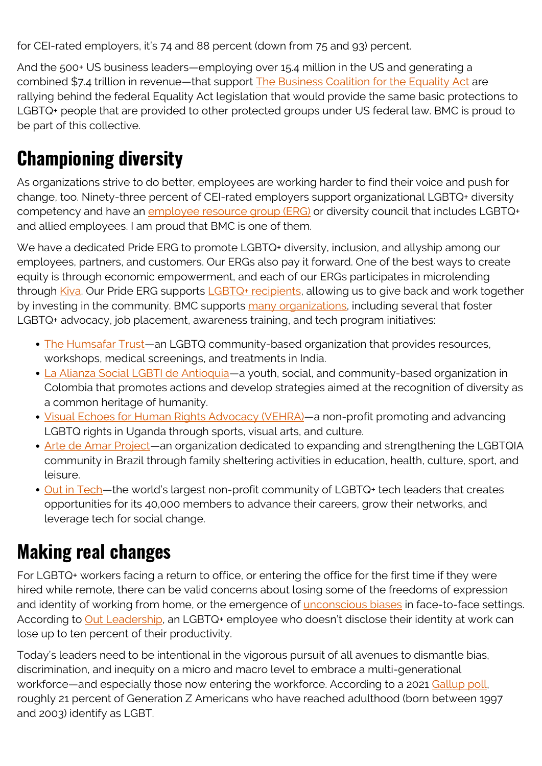for CEI-rated employers, it's 74 and 88 percent (down from 75 and 93) percent.

And the 500+ US business leaders—employing over 15.4 million in the US and generating a combined \$7.4 trillion in revenue—that support [The Business Coalition for the Equality Act](https://www.hrc.org/resources/business-coalition-for-equality) are rallying behind the federal Equality Act legislation that would provide the same basic protections to LGBTQ+ people that are provided to other protected groups under US federal law. BMC is proud to be part of this collective.

# **Championing diversity**

As organizations strive to do better, employees are working harder to find their voice and push for change, too. Ninety-three percent of CEI-rated employers support organizational LGBTQ+ diversity competency and have an [employee resource group \(ERG\)](https://blogs.bmc.com/careers/bmc-culture-values.html#tab-5fe2dbe2-b414-4794-a3dd-8516512095fa) or diversity council that includes LGBTQ+ and allied employees. I am proud that BMC is one of them.

We have a dedicated Pride ERG to promote LGBTQ+ diversity, inclusion, and allyship among our employees, partners, and customers. Our ERGs also pay it forward. One of the best ways to create equity is through economic empowerment, and each of our ERGs participates in microlending through [Kiva.](https://www.linkedin.com/company/kiva-org/) Our Pride ERG supports **LGBTQ+** recipients, allowing us to give back and work together by investing in the community. BMC supports [many organizations,](https://blogs.bmc.com/corporate/corporate-responsibility-impact.html) including several that foster LGBTQ+ advocacy, job placement, awareness training, and tech program initiatives:

- [The Humsafar Trust—](https://humsafar.org/)an LGBTQ community-based organization that provides resources, workshops, medical screenings, and treatments in India.
- [La Alianza Social LGBTI de Antioquia—](http://derechosmedellin.org/sitio/)a youth, social, and community-based organization in Colombia that promotes actions and develop strategies aimed at the recognition of diversity as a common heritage of humanity.
- [Visual Echoes for Human Rights Advocacy \(VEHRA\)](https://ugandakpc.org/portfolio/visual-echoes-for-human-rights-advocacy-vehra/)—a non-profit promoting and advancing LGBTQ rights in Uganda through sports, visual arts, and culture.
- [Arte de Amar Project—](http://www.projetoartedeamar.ong.br/)an organization dedicated to expanding and strengthening the LGBTQIA community in Brazil through family sheltering activities in education, health, culture, sport, and leisure.
- Out in Tech-the world's largest non-profit community of LGBTQ+ tech leaders that creates opportunities for its 40,000 members to advance their careers, grow their networks, and leverage tech for social change.

### **Making real changes**

For LGBTQ+ workers facing a return to office, or entering the office for the first time if they were hired while remote, there can be valid concerns about losing some of the freedoms of expression and identity of working from home, or the emergence of *unconscious biases* in face-to-face settings. According to [Out Leadership,](https://outleadership.com/) an LGBTQ+ employee who doesn't disclose their identity at work can lose up to ten percent of their productivity.

Today's leaders need to be intentional in the vigorous pursuit of all avenues to dismantle bias, discrimination, and inequity on a micro and macro level to embrace a multi-generational workforce—and especially those now entering the workforce. According to a 2021 [Gallup poll,](https://news.gallup.com/poll/389792/lgbt-identification-ticks-up.aspx) roughly 21 percent of Generation Z Americans who have reached adulthood (born between 1997 and 2003) identify as LGBT.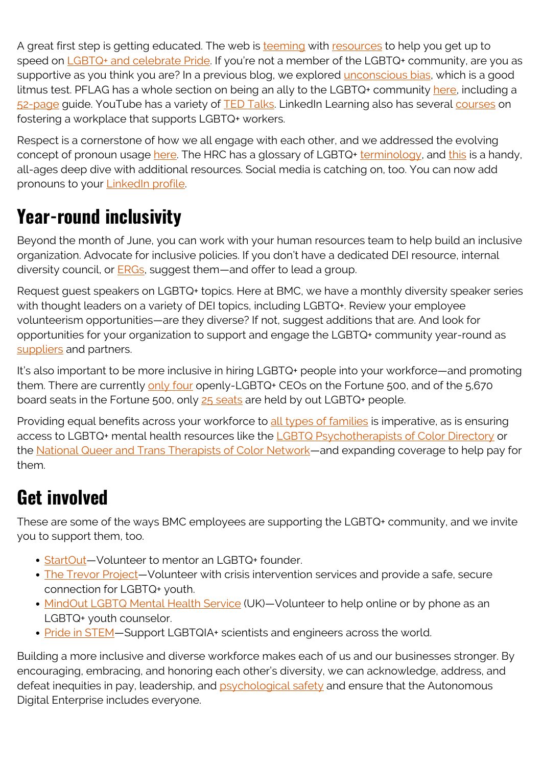A great first step is getting educated. The web is [teeming](https://www.hrc.org/campaigns/celebrate-pride-with-us) with [resources](http://web.archive.org/web/20210713233715/https://www.hrc.org/campaigns/prideinside) to help you get up to speed on [LGBTQ+ and celebrate Pride.](https://en.wikipedia.org/wiki/Portal:LGBT) If you're not a member of the LGBTQ+ community, are you as supportive as you think you are? In a previous blog, we explored [unconscious bias](https://blogs.bmc.com/blogs/inclusion-is-better-for-business/), which is a good litmus test. PFLAG has a whole section on being an ally to the LGBTQ+ community [here](https://pflag.org/allies), including a [52-page](https://pflag.org/sites/default/files/2020-Straight%20Ally%20Guide%20Revised.pdf) guide. YouTube has a variety of [TED Talks](https://www.youtube.com/results?search_query=ted+talk+lgbtq). LinkedIn Learning also has several [courses](https://www.linkedin.com/learning/search?entityType=ALL&keywords=LGBTQ&language=en_US&spellcheck=true&u=2094508) on fostering a workplace that supports LGBTQ+ workers.

Respect is a cornerstone of how we all engage with each other, and we addressed the evolving concept of pronoun usage [here](https://blogs.bmc.com/blogs/inclusion-is-better-for-business/). The HRC has a glossary of LGBTQ+ [terminology](https://www.hrc.org/resources/glossary-of-terms), and [this](https://www.adl.org/education/resources/tools-and-strategies/lets-get-it-right-using-correct-pronouns-and-names) is a handy, all-ages deep dive with additional resources. Social media is catching on, too. You can now add pronouns to your [LinkedIn profile](https://www.linkedin.com/help/linkedin/answer/28422).

# **Year-round inclusivity**

Beyond the month of June, you can work with your human resources team to help build an inclusive organization. Advocate for inclusive policies. If you don't have a dedicated DEI resource, internal diversity council, or **ERGs**, suggest them—and offer to lead a group.

Request guest speakers on LGBTQ+ topics. Here at BMC, we have a monthly diversity speaker series with thought leaders on a variety of DEI topics, including LGBTQ+. Review your employee volunteerism opportunities—are they diverse? If not, suggest additions that are. And look for opportunities for your organization to support and engage the LGBTQ+ community year-round as [suppliers](https://blogs.bmc.com/corporate/supplier-diversity-program.html) and partners.

It's also important to be more inclusive in hiring LGBTQ+ people into your workforce—and promoting them. There are currently [only four](https://www.investopedia.com/top-lgbtq-ceos-5323561) openly-LGBTQ+ CEOs on the Fortune 500, and of the 5,670 board seats in the Fortune 500, only [25 seats](https://outleadership.com/wp-content/uploads/2021/02/2.2.21-Out-Leadership-Quorum-Board-Diversity-Report.pdf) are held by out LGBTQ+ people.

Providing equal benefits across your workforce to [all types of families](https://guide.mybmcbenefits.com/enroll/eligibility) is imperative, as is ensuring access to LGBTQ+ mental health resources like the [LGBTQ Psychotherapists of Color Directory](https://www.lgbtqpsychotherapistsofcolor.com/) or the [National Queer and Trans Therapists of Color Network—](https://nqttcn.com/en/)and expanding coverage to help pay for them.

#### **Get involved**

These are some of the ways BMC employees are supporting the LGBTQ+ community, and we invite you to support them, too.

- StartOut-Volunteer to mentor an LGBTQ+ founder.
- [The Trevor Project](https://www.thetrevorproject.org/get-involved/volunteer/)*—*Volunteer with crisis intervention services and provide a safe, secure connection for LGBTQ+ youth.
- [MindOut LGBTQ Mental Health Service](https://mindout.org.uk/jobs/) (UK)-Volunteer to help online or by phone as an LGBTQ+ youth counselor.
- Pride in STEM-Support LGBTQIA+ scientists and engineers across the world.

Building a more inclusive and diverse workforce makes each of us and our businesses stronger. By encouraging, embracing, and honoring each other's diversity, we can acknowledge, address, and defeat inequities in pay, leadership, and [psychological safety](https://blogs.bmc.com/blogs/world-health-day-resilient-workforce/) and ensure that the Autonomous Digital Enterprise includes everyone.